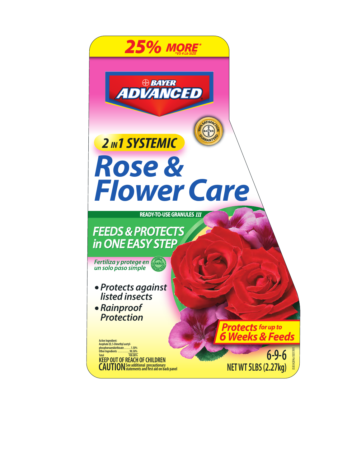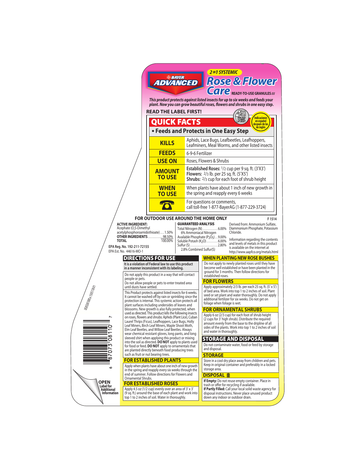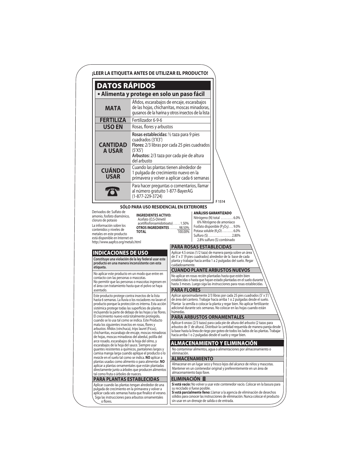| <b>DATOS RÁPIDOS</b>                                                                                                                                                                                                                                                 |                                                                                                                                                                              |                                                                                                                                                                                                                                                                                                                                                               |
|----------------------------------------------------------------------------------------------------------------------------------------------------------------------------------------------------------------------------------------------------------------------|------------------------------------------------------------------------------------------------------------------------------------------------------------------------------|---------------------------------------------------------------------------------------------------------------------------------------------------------------------------------------------------------------------------------------------------------------------------------------------------------------------------------------------------------------|
|                                                                                                                                                                                                                                                                      | · Alimenta y protege en solo un paso fácil                                                                                                                                   |                                                                                                                                                                                                                                                                                                                                                               |
| MATA                                                                                                                                                                                                                                                                 |                                                                                                                                                                              | Áfidos, escarabajos de encaje, escarabajos<br>de las hojas, chicharritas, moscas minadoras,<br>gusanos de la harina y otros insectos de la lista                                                                                                                                                                                                              |
| <b>FERTILIZA</b>                                                                                                                                                                                                                                                     | Fertilizador 6-9-6                                                                                                                                                           |                                                                                                                                                                                                                                                                                                                                                               |
| <b>USO EN</b>                                                                                                                                                                                                                                                        | Rosas, flores y arbustos                                                                                                                                                     |                                                                                                                                                                                                                                                                                                                                                               |
| <b>CANTIDAD</b><br><b>A USAR</b>                                                                                                                                                                                                                                     | Rosas establecidas: 1/2 taza para 9 pies<br>cuadrados (3'X3')<br>(5'X5')<br>Arbustos: 2/3 taza por cada pie de altura<br>del arbusto                                         | Flores: 2/3 libras por cada 25 pies cuadrados                                                                                                                                                                                                                                                                                                                 |
| <b>CUÁNDO</b><br><b>USAR</b>                                                                                                                                                                                                                                         | Cuando las plantas tienen alrededor de<br>1 pulgada de crecimiento nuevo en la                                                                                               | primavera y volver a aplicar cada 6 semanas                                                                                                                                                                                                                                                                                                                   |
|                                                                                                                                                                                                                                                                      | al número gratuito 1-877-BayerAG<br>$(1-877-229-3724)$                                                                                                                       | Para hacer preguntas o comentarios, llamar<br>F1514                                                                                                                                                                                                                                                                                                           |
| metales en este producto                                                                                                                                                                                                                                             | <b>TOTAL</b>                                                                                                                                                                 | OTROS INGREDIENTES  98.50%<br>Potasa soluble $(K_2O)$ 6.0%<br>100.00%<br>Sulfuro (S)  2.80%                                                                                                                                                                                                                                                                   |
| está disponible en Internet en<br>http://www.aapfco.org/metals.html<br><b>INDICACIONES DE USO</b>                                                                                                                                                                    | Constituye una violación de la ley federal usar este                                                                                                                         | 2.8% sulfuro (S) combinado<br><b>PARA ROSAS ESTABLECIDAS</b><br>Aplicar 4.5 onzas (1/2 taza) de manera pareja sobre un área<br>de 3' x 3' (9 pies cuadrados) alrededor de la base de cada                                                                                                                                                                     |
| producto en una manera inconsistente con esta<br>etiqueta.                                                                                                                                                                                                           |                                                                                                                                                                              | planta y trabajar hacia arriba 1 a 2 pulgadas del suelo. Regar<br>cuidadosamente.                                                                                                                                                                                                                                                                             |
| No aplicar este producto en un modo que entre en<br>contacto con las personas o mascotas.<br>el área con tratamiento hasta que el polvo se haya<br>asentado.                                                                                                         | No permitir que las personas o mascotas ingresen en                                                                                                                          | <b>CUANDO PLANTE ARBUSTOS NUEVOS</b><br>No aplicar en rosas recién plantadas hasta que estén bien<br>establecidas o hasta que hayan estado plantadas en el suelo durante<br>hasta 3 meses. Luego siga las instrucciones para rosas establecidas.<br><b>PARA FLORES</b>                                                                                        |
| Este producto protege contra insectos de la lista<br>sistémica protege todas las superficies de plantas                                                                                                                                                              | hasta 6 semanas. La lluvia o los rociadores no lavan el<br>producto porque la protección es interna. Esta acción<br>incluyendo la parte de debajo de las hojas y las flores. | Aplicar aproximadamente 2/3 libras por cada 25 pies cuadrados (5' x 5')<br>de área del cantero. Trabajar hacia arriba 1 o 2 pulgadas desde el suelo.<br>Plantar la semilla o colocar la planta y regar bien. No aplicar fertilizante<br>adicional durante seis semanas. No colocar en las hojas cuando están<br>húmedas.                                      |
| El crecimiento nuevo está totalmente protegido.<br>cuando se lo usa tal como se indica. Este Producto<br>mata los siguientes insectos en rosas, flores y<br>arbustos: Áfidos (vinchuca), trips laurel (Ficus),<br>de hojas, moscas minadoras del abedul, polilla del | chicharritas, escarabajo de encaje, moscas minadoras                                                                                                                         | <b>PARA ARBUSTOS ORNAMENTALES</b><br>Aplicar 6 onzas (2/3 tazas) para cada pie de altura del arbusto (2 tazas para<br>arbustos de 3' de altura). Distribuir la cantidad requerida de manera pareja desde<br>la base hasta la línea de riego por goteo de todos los lados de las plantas. Trabajar<br>hacia arriba 1 o 2 pulgadas desde el suelo y regar bien. |
| arce rosado, escarabajos de la hoja del olmo, y<br>escarabajos de la hoja del sauce. Siempre usar                                                                                                                                                                    |                                                                                                                                                                              | ALMACENAMIENTO Y ELIMINACIÓN                                                                                                                                                                                                                                                                                                                                  |
| quantes resistentes a químicos, pantalones largos y                                                                                                                                                                                                                  | camisa manga larga cuando aplique el producto o lo                                                                                                                           | No contaminar alimentos, agua o alimentaciones por almacenamiento o<br>eliminación.                                                                                                                                                                                                                                                                           |
| mezcle en el suelo tal como se indica. NO aplicar a<br>plantas usadas como alimento o para alimentar. NO                                                                                                                                                             |                                                                                                                                                                              | <b>ALMACENAMIENTO</b>                                                                                                                                                                                                                                                                                                                                         |
| aplicar a plantas ornamentales que están plantadas                                                                                                                                                                                                                   | directamente junto a árboles que producen alimentos                                                                                                                          | Almacenar en un lugar seco y fresco lejos del alcance de niños y mascotas.<br>Mantener en un contenedor original y preferentemente en un área de                                                                                                                                                                                                              |
| tal como fruta o árboles de nueces.<br><b>PARA PLANTAS ESTABLECIDAS</b>                                                                                                                                                                                              |                                                                                                                                                                              | almacenamiento bajo llave.<br>ELIMINACIÓN III                                                                                                                                                                                                                                                                                                                 |